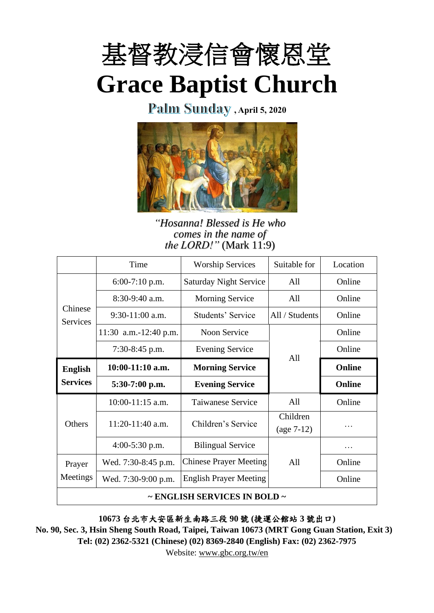

Palm Sunday, April 5, 2020



*"Hosanna! Blessed is He who comes in the name of the LORD!"* (Mark 11:9)

|                                        | Time                  | <b>Worship Services</b>       | Suitable for   | Location |  |
|----------------------------------------|-----------------------|-------------------------------|----------------|----------|--|
| Chinese<br><b>Services</b>             | $6:00-7:10$ p.m.      | <b>Saturday Night Service</b> | All            | Online   |  |
|                                        | $8:30-9:40$ a.m.      | <b>Morning Service</b>        | All            | Online   |  |
|                                        | $9:30-11:00$ a.m.     | Students' Service             | All / Students | Online   |  |
|                                        | 11:30 a.m.-12:40 p.m. | <b>Noon Service</b>           |                | Online   |  |
|                                        | $7:30-8:45$ p.m.      | <b>Evening Service</b>        |                | Online   |  |
| <b>English</b><br><b>Services</b>      | $10:00-11:10$ a.m.    | All<br><b>Morning Service</b> |                | Online   |  |
|                                        | $5:30-7:00$ p.m.      | <b>Evening Service</b>        |                | Online   |  |
| Others                                 | $10:00-11:15$ a.m.    | Taiwanese Service             | All            | Online   |  |
|                                        | 11:20-11:40 a.m.      | Children's Service            | Children       |          |  |
|                                        |                       |                               |                |          |  |
|                                        | $4:00-5:30$ p.m.      | <b>Bilingual Service</b>      |                |          |  |
| Prayer                                 | Wed. 7:30-8:45 p.m.   | <b>Chinese Prayer Meeting</b> | A11            | Online   |  |
| Meetings                               | Wed. 7:30-9:00 p.m.   | <b>English Prayer Meeting</b> |                | Online   |  |
| $\sim$ ENGLISH SERVICES IN BOLD $\sim$ |                       |                               |                |          |  |

**10673** 台北市大安區新生南路三段 **90** 號 **(**捷運公館站 **3** 號出口**)**

**No. 90, Sec. 3, Hsin Sheng South Road, Taipei, Taiwan 10673 (MRT Gong Guan Station, Exit 3) Tel: (02) 2362-5321 (Chinese) (02) 8369-2840 (English) Fax: (02) 2362-7975**

Website: [www.gbc.org.tw/en](http://www.gbc.org.tw/en)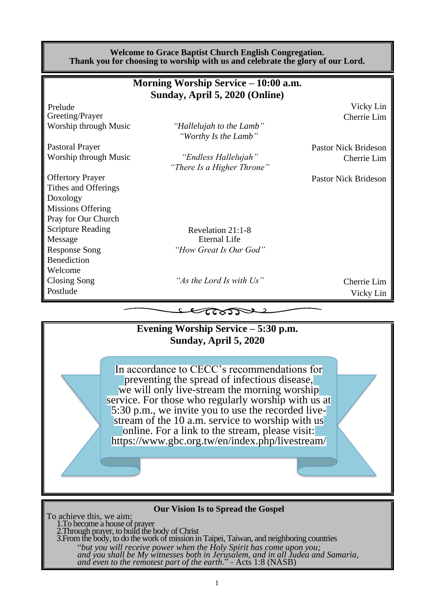|                          | <b>Welcome to Grace Baptist Church English Congregation.</b><br>Thank you for choosing to worship with us and celebrate the glory of our Lord. |                             |
|--------------------------|------------------------------------------------------------------------------------------------------------------------------------------------|-----------------------------|
|                          | Morning Worship Service – 10:00 a.m.                                                                                                           |                             |
|                          | Sunday, April 5, 2020 (Online)                                                                                                                 |                             |
| Prelude                  |                                                                                                                                                | Vicky Lin                   |
| Greeting/Prayer          |                                                                                                                                                | Cherrie Lim                 |
| Worship through Music    | "Hallelujah to the Lamb"<br>"Worthy Is the Lamb"                                                                                               |                             |
| <b>Pastoral Prayer</b>   |                                                                                                                                                | <b>Pastor Nick Brideson</b> |
| Worship through Music    | "Endless Hallelujah"                                                                                                                           | Cherrie Lim                 |
|                          | "There Is a Higher Throne"                                                                                                                     |                             |
| <b>Offertory Prayer</b>  |                                                                                                                                                | <b>Pastor Nick Brideson</b> |
| Tithes and Offerings     |                                                                                                                                                |                             |
| Doxology                 |                                                                                                                                                |                             |
| <b>Missions Offering</b> |                                                                                                                                                |                             |
| Pray for Our Church      |                                                                                                                                                |                             |
| <b>Scripture Reading</b> | Revelation 21:1-8                                                                                                                              |                             |
| Message                  | <b>Eternal Life</b>                                                                                                                            |                             |
| <b>Response Song</b>     | "How Great Is Our God"                                                                                                                         |                             |
| <b>Benediction</b>       |                                                                                                                                                |                             |
| Welcome                  |                                                                                                                                                |                             |
| Closing Song             | "As the Lord Is with Us"                                                                                                                       | Cherrie Lim                 |
| Postlude                 |                                                                                                                                                | Vicky Lin                   |
|                          | Learn                                                                                                                                          |                             |
|                          |                                                                                                                                                |                             |
|                          | Evening Worship Service - 5:30 p.m.                                                                                                            |                             |
|                          | Sunday, April 5, 2020                                                                                                                          |                             |
|                          |                                                                                                                                                |                             |
|                          | In accordance to CECC's recommendations for                                                                                                    |                             |
|                          | preventing the spread of infectious disease,                                                                                                   |                             |
|                          | we will only live-stream the morning worship                                                                                                   |                             |
|                          | service. For those who regularly worship with us at                                                                                            |                             |
|                          | 5:30 p.m., we invite you to use the recorded live-                                                                                             |                             |
|                          | stream of the 10 a.m. service to worship with us                                                                                               |                             |
|                          | online. For a link to the stream, please visit:                                                                                                |                             |
|                          | https://www.gbc.org.tw/en/index.php/livestream/                                                                                                |                             |

#### **Our Vision Is to Spread the Gospel**

To achieve this, we aim: 1.To become a house of prayer 2.Through prayer, to build the body of Christ 3.From the body, to do the work of mission in Taipei, Taiwan, and neighboring countries "*but you will receive power when the Holy Spirit has come upon you; and you shall be My witnesses both in Jerusalem, and in all Judea and Samaria, and even to the remotest part of the earth*." - Acts 1:8 (NASB)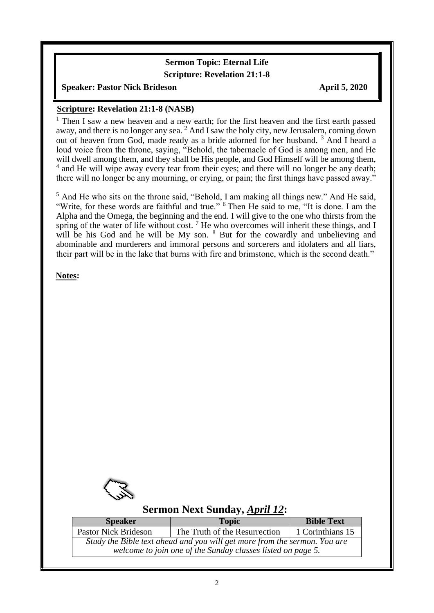#### **Sermon Topic: Eternal Life Scripture: Revelation 21:1-8**

#### **Speaker: Pastor Nick Brideson April 5, 2020**

#### **Scripture: Revelation 21:1-8 (NASB)**

<sup>1</sup> Then I saw a new heaven and a new earth; for the first heaven and the first earth passed away, and there is no longer any sea.  $2$  And I saw the holy city, new Jerusalem, coming down out of heaven from God, made ready as a bride adorned for her husband. <sup>3</sup> And I heard a loud voice from the throne, saying, "Behold, the tabernacle of God is among men, and He will dwell among them, and they shall be His people, and God Himself will be among them, <sup>4</sup> and He will wipe away every tear from their eyes; and there will no longer be any death; there will no longer be any mourning, or crying, or pain; the first things have passed away."

<sup>5</sup> And He who sits on the throne said, "Behold, I am making all things new." And He said, "Write, for these words are faithful and true." <sup>6</sup> Then He said to me, "It is done. I am the Alpha and the Omega, the beginning and the end. I will give to the one who thirsts from the spring of the water of life without cost.<sup>7</sup> He who overcomes will inherit these things, and I will be his God and he will be My son. <sup>8</sup> But for the cowardly and unbelieving and abominable and murderers and immoral persons and sorcerers and idolaters and all liars, their part will be in the lake that burns with fire and brimstone, which is the second death."

**Notes:**

 $\overline{\phantom{a}}$ 



#### **Sermon Next Sunday,** *April 12***:**

| <b>Speaker</b>                                                            | <b>Topic</b>                  | <b>Bible Text</b> |  |  |  |
|---------------------------------------------------------------------------|-------------------------------|-------------------|--|--|--|
| <b>Pastor Nick Brideson</b>                                               | The Truth of the Resurrection | 1 Corinthians 15  |  |  |  |
| Study the Bible text ahead and you will get more from the sermon. You are |                               |                   |  |  |  |
| welcome to join one of the Sunday classes listed on page 5.               |                               |                   |  |  |  |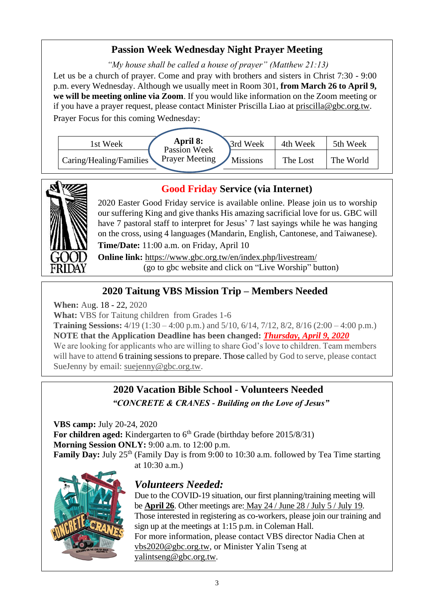#### **Passion Week Wednesday Night Prayer Meeting**

*"My house shall be called a house of prayer" (Matthew 21:13)* Let us be a church of prayer. Come and pray with brothers and sisters in Christ 7:30 - 9:00 p.m. every Wednesday. Although we usually meet in Room 301, **from March 26 to April 9, we will be meeting online via Zoom**. If you would like information on the Zoom meeting or if you have a prayer request, please contact Minister Priscilla Liao at [priscilla@gbc.org.tw.](mailto:priscilla@gbc.org.tw) Prayer Focus for this coming Wednesday:





#### **Good Friday Service (via Internet)**

2020 Easter Good Friday service is available online. Please join us to worship our suffering King and give thanks His amazing sacrificial love for us. GBC will have 7 pastoral staff to interpret for Jesus' 7 last sayings while he was hanging on the cross, using 4 languages (Mandarin, English, Cantonese, and Taiwanese).

**Time/Date:** 11:00 a.m. on Friday, April 10

**Online link:** <https://www.gbc.org.tw/en/index.php/livestream/> (go to gbc website and click on "Live Worship" button)

#### **2020 Taitung VBS Mission Trip – Members Needed**

**When:** Aug. 18 - 22, 2020

**What:** VBS for Taitung children from Grades 1-6

**Training Sessions:** 4/19 (1:30 – 4:00 p.m.) and 5/10, 6/14, 7/12, 8/2, 8/16 (2:00 – 4:00 p.m.) **NOTE that the Application Deadline has been changed:** *Thursday, April 9, 2020* We are looking for applicants who are willing to share God's love to children. Team members

will have to attend 6 training sessions to prepare. Those called by God to serve, please contact SueJenny by email: suejenny@gbc.org.tw.

## **2020 Vacation Bible School - Volunteers Needed** *"CONCRETE & CRANES - Building on the Love of Jesus"*

**VBS camp:** July 20-24, 2020 **For children aged:** Kindergarten to 6<sup>th</sup> Grade (birthday before 2015/8/31) **Morning Session ONLY:** 9:00 a.m. to 12:00 p.m. **Family Day:** July 25<sup>th</sup> (Family Day is from 9:00 to 10:30 a.m. followed by Tea Time starting at 10:30 a.m.)



#### *Volunteers Needed:*

Due to the COVID-19 situation, our first planning/training meeting will be **April 26**. Other meetings are: May 24 / June 28 / July 5 / July 19. Those interested in registering as co-workers, please join our training and sign up at the meetings at 1:15 p.m. in Coleman Hall. For more information, please contact VBS director Nadia Chen at [vbs2020@gbc.org.tw,](mailto:vbs2020@gbc.org.tw) or Minister Yalin Tseng at [yalintseng@gbc.org.tw.](mailto:yalintseng@gbc.org.tw)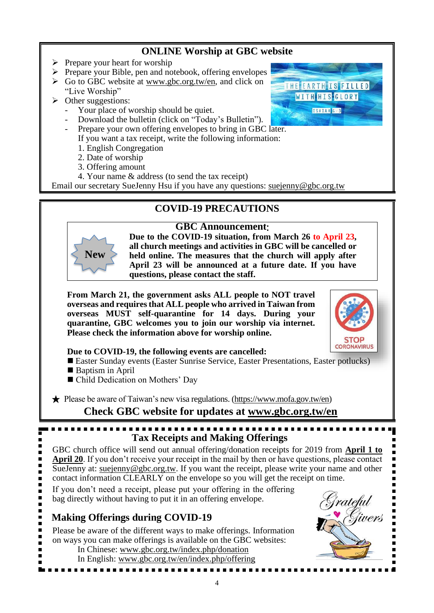## **ONLINE Worship at GBC website**

- $\triangleright$  Prepare your heart for worship
- ➢ Prepare your Bible, pen and notebook, offering envelopes
- $\triangleright$  Go to GBC website at [www.gbc.org.tw/](http://www.gbc.org.tw/)en, and click on "Live Worship"
- ➢ Other suggestions:
	- Your place of worship should be quiet.
	- Download the bulletin (click on "Today's Bulletin").
	- Prepare your own offering envelopes to bring in GBC later.
		- If you want a tax receipt, write the following information:
			- 1. English Congregation
			- 2. Date of worship
			- 3. Offering amount
		- 4. Your name & address (to send the tax receipt)

Email our secretary SueJenny Hsu if you have any questions: suejenny@gbc.org.tw

## **COVID-19 PRECAUTIONS**





**Due to the COVID-19 situation, from March 26 to April 23, all church meetings and activities in GBC will be cancelled or held online. The measures that the church will apply after April 23 will be announced at a future date. If you have questions, please contact the staff.** 

**From March 21, the government asks ALL people to NOT travel overseas and requires that ALL people who arrived in Taiwan from overseas MUST self-quarantine for 14 days. During your quarantine, GBC welcomes you to join our worship via internet. Please check the information above for worship online.**



THE EARTH IS FILLED WITH HIS GLORY ISAIAH 613

**Due to COVID-19, the following events are cancelled:**

- Easter Sunday events (Easter Sunrise Service, Easter Presentations, Easter potlucks)
- Baptism in April
- Child Dedication on Mothers' Day

★ Please be aware of Taiwan's new visa regulations. [\(https://www.mofa.gov.tw/en\)](https://www.mofa.gov.tw/en/)

**Check GBC website for updates at [www.gbc.org.tw/en](http://www.gbc.org.tw/en)**

# **Tax Receipts and Making Offerings**

GBC church office will send out annual offering/donation receipts for 2019 from **April 1 to April 20**. If you don't receive your receipt in the mail by then or have questions, please contact SueJenny at: [suejenny@gbc.org.tw.](mailto:suejenny@gbc.org.tw) If you want the receipt, please write your name and other contact information CLEARLY on the envelope so you will get the receipt on time.

If you don't need a receipt, please put your offering in the offering bag directly without having to put it in an offering envelope.

## **Making Offerings during COVID-19**

Please be aware of the different ways to make offerings. Information on ways you can make offerings is available on the GBC websites:

- In Chinese: www.gbc.org.tw/index.php/donation
- In English: [www.gbc.org.tw/en/index.php/offering](http://www.gbc.org.tw/en/index.php/offering/)

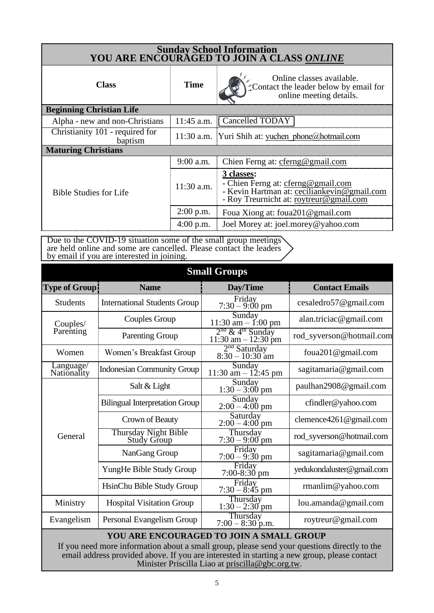| Sunday School Information<br>YOU ARE ENCOURAGED TO JOIN A CLASS ONLINE |              |                                                                                                                                            |  |  |
|------------------------------------------------------------------------|--------------|--------------------------------------------------------------------------------------------------------------------------------------------|--|--|
| <b>Class</b>                                                           | <b>Time</b>  | Online classes available.<br>Contact the leader below by email for<br>online meeting details.                                              |  |  |
| <b>Beginning Christian Life</b>                                        |              |                                                                                                                                            |  |  |
| Alpha - new and non-Christians                                         | 11:45 a.m.   | Cancelled TODAY                                                                                                                            |  |  |
| Christianity 101 - required for<br>baptism                             |              | 11:30 a.m. Yuri Shih at: yuchen phone@hotmail.com                                                                                          |  |  |
| <b>Maturing Christians</b>                                             |              |                                                                                                                                            |  |  |
|                                                                        | $9:00$ a.m.  | Chien Ferng at: cferng@gmail.com                                                                                                           |  |  |
| <b>Bible Studies for Life</b>                                          | $11:30$ a.m. | 3 classes:<br>- Chien Ferng at: cferng@gmail.com<br>- Kevin Hartman at: ceciliankevin@gmail.com<br>- Roy Treurnicht at: roytreur@gmail.com |  |  |
|                                                                        | $2:00$ p.m.  | Foua Xiong at: foua 201@gmail.com                                                                                                          |  |  |
|                                                                        | 4:00 p.m.    | Joel Morey at: joel.morey@yahoo.com                                                                                                        |  |  |

Due to the COVID-19 situation some of the small group meetings are held online and some are cancelled. Please contact the leaders by email if you are interested in joining.

|                          |                                                                                                                                                                                                                                         | <b>Small Groups</b>                                      |                            |
|--------------------------|-----------------------------------------------------------------------------------------------------------------------------------------------------------------------------------------------------------------------------------------|----------------------------------------------------------|----------------------------|
| <b>Type of Group!</b>    | <b>Name</b>                                                                                                                                                                                                                             | Day/Time                                                 | <b>Contact Emails</b>      |
| <b>Students</b>          | <b>International Students Group</b>                                                                                                                                                                                                     | Friday<br>$7:30 - 9:00$ pm                               | cesaledro57@gmail.com      |
| Couples/                 | Couples Group                                                                                                                                                                                                                           | Sunday<br>$11:30$ am $- 1:00$ pm                         | alan.triciac@gmail.com     |
| Parenting                | <b>Parenting Group</b>                                                                                                                                                                                                                  | $2nd$ & 4 <sup>th</sup> Sunday<br>$11:30$ am $-12:30$ pm | rod_syverson@hotmail.com   |
| Women                    | Women's Breakfast Group                                                                                                                                                                                                                 | $2nd Saturday$<br>8:30 – 10:30 am                        | foua201@gmail.com          |
| Language/<br>Nationality | <b>Indonesian Community Group</b>                                                                                                                                                                                                       | Sunday<br>11:30 am $- 12:45$ pm                          | sagitamaria@gmail.com      |
|                          | Salt & Light                                                                                                                                                                                                                            | Sunday<br>$1:30 - 3:00$ pm                               | paulhan2908@gmail.com      |
|                          | <b>Bilingual Interpretation Group</b>                                                                                                                                                                                                   | Sunday<br>$2:00 - 4:00$ pm                               | cfindler@yahoo.com         |
| General                  | Crown of Beauty                                                                                                                                                                                                                         | Saturday<br>$2:00 - 4:00$ pm                             | clemence $4261@$ gmail.com |
|                          | <b>Thursday Night Bible</b><br>Study Group                                                                                                                                                                                              | Thursday<br>$7:30 - 9:00$ pm                             | rod_syverson@hotmail.com   |
|                          | NanGang Group                                                                                                                                                                                                                           | Friday<br>$7:00 - 9:30$ pm                               | sagitamaria@gmail.com      |
|                          | YungHe Bible Study Group                                                                                                                                                                                                                | Friday<br>$7:00-8:30$ pm                                 | yedukondaluster@gmail.com  |
|                          | HsinChu Bible Study Group                                                                                                                                                                                                               | Friday<br>$7:30 - 8:45$ pm                               | rmanlim@yahoo.com          |
| Ministry                 | <b>Hospital Visitation Group</b>                                                                                                                                                                                                        | Thursday<br>$1:30 - 2:30$ pm                             | lou.amanda@gmail.com       |
| Evangelism               | Personal Evangelism Group                                                                                                                                                                                                               | Thursday<br>$7:00 - 8:30$ p.m.                           | roytreur@gmail.com         |
|                          | YOU ARE ENCOURAGED TO JOIN A SMALL GROUP<br>If you need more information about a small group, please send your questions directly to the<br>email address provided above. If you are interested in starting a new group, please contact | Minister Priscilla Liao at priscilla@gbc.org.tw.         |                            |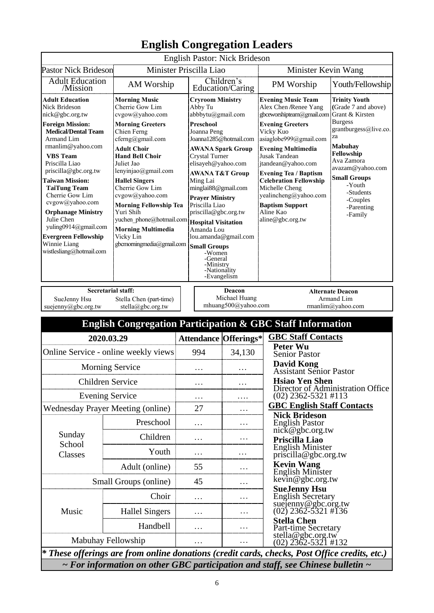|                                                                                                                                                                                                                                                                                                                                                                                                                                                                                                                                                                                                                                                                                                                                                                                                                                                                                                  |                                                                           |               |                                                                                                                                                                                                                                                                                                                                                                                                                                                                                                         | <b>English Pastor: Nick Brideson</b>           |                                                                                                                                                                                                                                                                                                                                                                                                     |                                                                                                                                                                                                                                                                      |
|--------------------------------------------------------------------------------------------------------------------------------------------------------------------------------------------------------------------------------------------------------------------------------------------------------------------------------------------------------------------------------------------------------------------------------------------------------------------------------------------------------------------------------------------------------------------------------------------------------------------------------------------------------------------------------------------------------------------------------------------------------------------------------------------------------------------------------------------------------------------------------------------------|---------------------------------------------------------------------------|---------------|---------------------------------------------------------------------------------------------------------------------------------------------------------------------------------------------------------------------------------------------------------------------------------------------------------------------------------------------------------------------------------------------------------------------------------------------------------------------------------------------------------|------------------------------------------------|-----------------------------------------------------------------------------------------------------------------------------------------------------------------------------------------------------------------------------------------------------------------------------------------------------------------------------------------------------------------------------------------------------|----------------------------------------------------------------------------------------------------------------------------------------------------------------------------------------------------------------------------------------------------------------------|
| <b>Pastor Nick Brideson</b>                                                                                                                                                                                                                                                                                                                                                                                                                                                                                                                                                                                                                                                                                                                                                                                                                                                                      |                                                                           |               | Minister Priscilla Liao                                                                                                                                                                                                                                                                                                                                                                                                                                                                                 |                                                | Minister Kevin Wang                                                                                                                                                                                                                                                                                                                                                                                 |                                                                                                                                                                                                                                                                      |
| <b>Adult Education</b><br>/Mission                                                                                                                                                                                                                                                                                                                                                                                                                                                                                                                                                                                                                                                                                                                                                                                                                                                               | AM Worship                                                                |               |                                                                                                                                                                                                                                                                                                                                                                                                                                                                                                         | Children's                                     | PM Worship                                                                                                                                                                                                                                                                                                                                                                                          | Youth/Fellowship                                                                                                                                                                                                                                                     |
| <b>Adult Education</b><br><b>Morning Music</b><br><b>Nick Brideson</b><br>Cherrie Gow Lim<br>nick@gbc.org.tw<br>cvgow@yahoo.com<br><b>Foreign Mission:</b><br><b>Morning Greeters</b><br><b>Medical/Dental Team</b><br>Chien Ferng<br>cferng@gmail.com<br>Armand Lim<br>rmanlim@yahoo.com<br><b>Adult Choir</b><br><b>Hand Bell Choir</b><br><b>VBS</b> Team<br>Priscilla Liao<br>Juliet Jao<br>priscilla@gbc.org.tw<br>lenyinjao@gmail.com<br><b>Taiwan Mission:</b><br><b>Hallel Singers</b><br><b>TaiTung Team</b><br>Cherrie Gow Lim<br>Cherrie Gow Lim<br>cvgow@yahoo.com<br>cvgow@yahoo.com<br><b>Morning Fellowship Tea</b><br>Yuri Shih<br><b>Orphanage Ministry</b><br>Julie Chen<br>yuchen phone@hotmail.com<br>yuling0914@gmail.com<br><b>Morning Multimedia</b><br><b>Evergreen Fellowship</b><br>Vicky Lin<br>Winnie Liang<br>gbcmorningmedia@gmail.com<br>wistlesliang@hotmail.com |                                                                           |               | Education/Caring<br><b>Cryroom Ministry</b><br>Abby Tu<br>abbbytu@gmail.com<br>Preschool<br>Joanna Peng<br>Joanna1285@hotmail.com<br><b>AWANA Spark Group</b><br>Crystal Turner<br>elisayeh@yahoo.com<br><b>AWANA T&amp;T Group</b><br>Ming Lai<br>minglai88@gmail.com<br><b>Prayer Ministry</b><br>Priscilla Liao<br>priscilla@gbc.org.tw<br><b>Hospital Visitation</b><br>Amanda Lou<br>lou.amanda@gmail.com<br><b>Small Groups</b><br>-Women<br>-General<br>-Ministry<br>-Nationality<br>-Evangelism |                                                | <b>Evening Music Team</b><br>Alex Chen /Renee Yang<br>gbceworshipteam@gmail.com<br><b>Evening Greeters</b><br>Vicky Kuo<br>asiaglobe999@gmail.com<br><b>Evening Multimedia</b><br><b>Jusak Tandean</b><br>jtandean@yahoo.com<br><b>Evening Tea / Baptism</b><br><b>Celebration Fellowship</b><br>Michelle Cheng<br>yealincheng@yahoo.com<br><b>Baptism Support</b><br>Aline Kao<br>aline@gbc.org.tw | <b>Trinity Youth</b><br>(Grade 7 and above)<br>Grant & Kirsten<br><b>Burgess</b><br>grantburgess@live.co.<br>za<br><b>Mabuhay</b><br>Fellowship<br>Ava Zamora<br>avazam@yahoo.com<br><b>Small Groups</b><br>-Youth<br>-Students<br>-Couples<br>-Parenting<br>-Family |
| SueJenny Hsu<br>suejenny@gbc.org.tw                                                                                                                                                                                                                                                                                                                                                                                                                                                                                                                                                                                                                                                                                                                                                                                                                                                              | <b>Secretarial staff:</b><br>Stella Chen (part-time)<br>stella@gbc.org.tw |               |                                                                                                                                                                                                                                                                                                                                                                                                                                                                                                         | Deacon<br>Michael Huang<br>mhuang500@yahoo.com |                                                                                                                                                                                                                                                                                                                                                                                                     | <b>Alternate Deacon</b><br>Armand Lim<br>rmanlim@yahoo.com                                                                                                                                                                                                           |
|                                                                                                                                                                                                                                                                                                                                                                                                                                                                                                                                                                                                                                                                                                                                                                                                                                                                                                  | <b>English Congregation Participation &amp; GBC Staff Information</b>     |               |                                                                                                                                                                                                                                                                                                                                                                                                                                                                                                         |                                                |                                                                                                                                                                                                                                                                                                                                                                                                     |                                                                                                                                                                                                                                                                      |
| 2020.03.29                                                                                                                                                                                                                                                                                                                                                                                                                                                                                                                                                                                                                                                                                                                                                                                                                                                                                       |                                                                           |               |                                                                                                                                                                                                                                                                                                                                                                                                                                                                                                         |                                                |                                                                                                                                                                                                                                                                                                                                                                                                     |                                                                                                                                                                                                                                                                      |
| Online Service - online weekly views                                                                                                                                                                                                                                                                                                                                                                                                                                                                                                                                                                                                                                                                                                                                                                                                                                                             |                                                                           |               |                                                                                                                                                                                                                                                                                                                                                                                                                                                                                                         |                                                | <b>GBC Staff Contacts</b>                                                                                                                                                                                                                                                                                                                                                                           |                                                                                                                                                                                                                                                                      |
|                                                                                                                                                                                                                                                                                                                                                                                                                                                                                                                                                                                                                                                                                                                                                                                                                                                                                                  |                                                                           |               | 994                                                                                                                                                                                                                                                                                                                                                                                                                                                                                                     | <b>Attendance Offerings*</b><br>34,130         | <b>Peter Wu</b><br><b>Senior Pastor</b>                                                                                                                                                                                                                                                                                                                                                             |                                                                                                                                                                                                                                                                      |
|                                                                                                                                                                                                                                                                                                                                                                                                                                                                                                                                                                                                                                                                                                                                                                                                                                                                                                  | <b>Morning Service</b>                                                    |               |                                                                                                                                                                                                                                                                                                                                                                                                                                                                                                         |                                                | <b>David Kong</b>                                                                                                                                                                                                                                                                                                                                                                                   |                                                                                                                                                                                                                                                                      |
| <b>Children Service</b>                                                                                                                                                                                                                                                                                                                                                                                                                                                                                                                                                                                                                                                                                                                                                                                                                                                                          |                                                                           |               | .                                                                                                                                                                                                                                                                                                                                                                                                                                                                                                       | .                                              | <b>Assistant Senior Pastor</b><br><b>Hsiao Yen Shen</b>                                                                                                                                                                                                                                                                                                                                             |                                                                                                                                                                                                                                                                      |
| <b>Evening Service</b>                                                                                                                                                                                                                                                                                                                                                                                                                                                                                                                                                                                                                                                                                                                                                                                                                                                                           |                                                                           |               | .                                                                                                                                                                                                                                                                                                                                                                                                                                                                                                       | .                                              | $(02)$ 2362-5321 #113                                                                                                                                                                                                                                                                                                                                                                               | Director of Administration Office                                                                                                                                                                                                                                    |
| <b>Wednesday Prayer Meeting (online)</b>                                                                                                                                                                                                                                                                                                                                                                                                                                                                                                                                                                                                                                                                                                                                                                                                                                                         |                                                                           |               | 27                                                                                                                                                                                                                                                                                                                                                                                                                                                                                                      | .                                              | <b>GBC English Staff Contacts</b>                                                                                                                                                                                                                                                                                                                                                                   |                                                                                                                                                                                                                                                                      |
|                                                                                                                                                                                                                                                                                                                                                                                                                                                                                                                                                                                                                                                                                                                                                                                                                                                                                                  | Preschool                                                                 |               | .                                                                                                                                                                                                                                                                                                                                                                                                                                                                                                       | .                                              | <b>Nick Brideson</b><br><b>English Pastor</b>                                                                                                                                                                                                                                                                                                                                                       |                                                                                                                                                                                                                                                                      |
| Sunday                                                                                                                                                                                                                                                                                                                                                                                                                                                                                                                                                                                                                                                                                                                                                                                                                                                                                           |                                                                           |               |                                                                                                                                                                                                                                                                                                                                                                                                                                                                                                         | .                                              | nick@gbc.org.tw                                                                                                                                                                                                                                                                                                                                                                                     |                                                                                                                                                                                                                                                                      |
| School                                                                                                                                                                                                                                                                                                                                                                                                                                                                                                                                                                                                                                                                                                                                                                                                                                                                                           | Children<br>Youth                                                         | .<br>$\ddots$ |                                                                                                                                                                                                                                                                                                                                                                                                                                                                                                         | .                                              | Priscilla Liao<br><b>English Minister</b>                                                                                                                                                                                                                                                                                                                                                           |                                                                                                                                                                                                                                                                      |
| Classes                                                                                                                                                                                                                                                                                                                                                                                                                                                                                                                                                                                                                                                                                                                                                                                                                                                                                          |                                                                           |               |                                                                                                                                                                                                                                                                                                                                                                                                                                                                                                         | .                                              | priscilla@gbc.org.tw<br><b>Kevin Wang</b>                                                                                                                                                                                                                                                                                                                                                           |                                                                                                                                                                                                                                                                      |
|                                                                                                                                                                                                                                                                                                                                                                                                                                                                                                                                                                                                                                                                                                                                                                                                                                                                                                  | Adult (online)<br>Small Groups (online)                                   | 55<br>45      |                                                                                                                                                                                                                                                                                                                                                                                                                                                                                                         | .                                              | English Minister<br>kevin@gbc.org.tw                                                                                                                                                                                                                                                                                                                                                                |                                                                                                                                                                                                                                                                      |
|                                                                                                                                                                                                                                                                                                                                                                                                                                                                                                                                                                                                                                                                                                                                                                                                                                                                                                  | Choir                                                                     |               | .                                                                                                                                                                                                                                                                                                                                                                                                                                                                                                       | .                                              | <b>SueJenny Hsu</b>                                                                                                                                                                                                                                                                                                                                                                                 |                                                                                                                                                                                                                                                                      |
|                                                                                                                                                                                                                                                                                                                                                                                                                                                                                                                                                                                                                                                                                                                                                                                                                                                                                                  |                                                                           |               |                                                                                                                                                                                                                                                                                                                                                                                                                                                                                                         |                                                | English Secretary<br>suejenny@gbc.org.tw                                                                                                                                                                                                                                                                                                                                                            |                                                                                                                                                                                                                                                                      |
| Music                                                                                                                                                                                                                                                                                                                                                                                                                                                                                                                                                                                                                                                                                                                                                                                                                                                                                            | <b>Hallel Singers</b>                                                     |               |                                                                                                                                                                                                                                                                                                                                                                                                                                                                                                         | .<br>.                                         | $(02)$ 2362-5321 #136<br><b>Stella Chen</b>                                                                                                                                                                                                                                                                                                                                                         |                                                                                                                                                                                                                                                                      |
|                                                                                                                                                                                                                                                                                                                                                                                                                                                                                                                                                                                                                                                                                                                                                                                                                                                                                                  | Handbell                                                                  | .             |                                                                                                                                                                                                                                                                                                                                                                                                                                                                                                         |                                                | Part-time Secretary<br>stella@gbc.org.tw                                                                                                                                                                                                                                                                                                                                                            |                                                                                                                                                                                                                                                                      |
| Mabuhay Fellowship                                                                                                                                                                                                                                                                                                                                                                                                                                                                                                                                                                                                                                                                                                                                                                                                                                                                               |                                                                           |               | .                                                                                                                                                                                                                                                                                                                                                                                                                                                                                                       | .                                              | $(02)$ 2362-5321 #132<br>$*$ These offerings are from online donations (credit cards, checks, Post Office credits, etc.)                                                                                                                                                                                                                                                                            |                                                                                                                                                                                                                                                                      |

## **English Congregation Leaders**